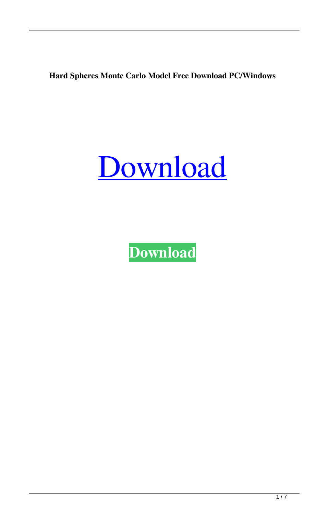**Hard Spheres Monte Carlo Model Free Download PC/Windows**



**[Download](http://evacdir.com/cato/climb?SGFyZCBTcGhlcmVzIE1vbnRlIENhcmxvIE1vZGVsSGF=schweiker/ZG93bmxvYWR8a2M0TTI4eGFueDhNVFkxTkRRek5qWTFPSHg4TWpVNU1IeDhLRTBwSUZkdmNtUndjbVZ6Y3lCYldFMU1VbEJESUZZeUlGQkVSbDA/zyban)**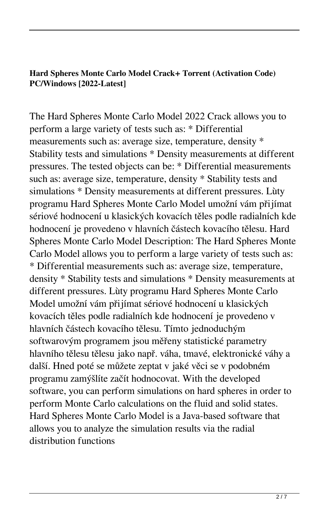# **Hard Spheres Monte Carlo Model Crack+ Torrent (Activation Code) PC/Windows [2022-Latest]**

The Hard Spheres Monte Carlo Model 2022 Crack allows you to perform a large variety of tests such as: \* Differential measurements such as: average size, temperature, density \* Stability tests and simulations \* Density measurements at different pressures. The tested objects can be: \* Differential measurements such as: average size, temperature, density \* Stability tests and simulations \* Density measurements at different pressures. Lùty programu Hard Spheres Monte Carlo Model umožní vám přijímat sériové hodnocení u klasických kovacích těles podle radialních kde hodnocení je provedeno v hlavních částech kovacího tělesu. Hard Spheres Monte Carlo Model Description: The Hard Spheres Monte Carlo Model allows you to perform a large variety of tests such as: \* Differential measurements such as: average size, temperature, density \* Stability tests and simulations \* Density measurements at different pressures. Lùty programu Hard Spheres Monte Carlo Model umožní vám přijímat sériové hodnocení u klasických kovacích těles podle radialních kde hodnocení je provedeno v hlavních částech kovacího tělesu. Tímto jednoduchým softwarovým programem jsou měřeny statistické parametry hlavního tělesu tělesu jako např. váha, tmavé, elektronické váhy a další. Hned poté se můžete zeptat v jaké věci se v podobném programu zamýšlíte začít hodnocovat. With the developed software, you can perform simulations on hard spheres in order to perform Monte Carlo calculations on the fluid and solid states. Hard Spheres Monte Carlo Model is a Java-based software that allows you to analyze the simulation results via the radial distribution functions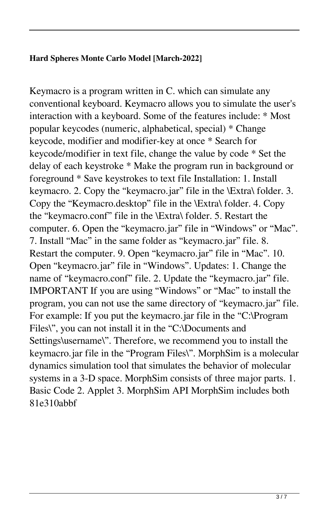## **Hard Spheres Monte Carlo Model [March-2022]**

Keymacro is a program written in C. which can simulate any conventional keyboard. Keymacro allows you to simulate the user's interaction with a keyboard. Some of the features include: \* Most popular keycodes (numeric, alphabetical, special) \* Change keycode, modifier and modifier-key at once \* Search for keycode/modifier in text file, change the value by code \* Set the delay of each keystroke \* Make the program run in background or foreground \* Save keystrokes to text file Installation: 1. Install keymacro. 2. Copy the "keymacro.jar" file in the \Extra\ folder. 3. Copy the "Keymacro.desktop" file in the \Extra\ folder. 4. Copy the "keymacro.conf" file in the \Extra\ folder. 5. Restart the computer. 6. Open the "keymacro.jar" file in "Windows" or "Mac". 7. Install "Mac" in the same folder as "keymacro.jar" file. 8. Restart the computer. 9. Open "keymacro.jar" file in "Mac". 10. Open "keymacro.jar" file in "Windows". Updates: 1. Change the name of "keymacro.conf" file. 2. Update the "keymacro.jar" file. IMPORTANT If you are using "Windows" or "Mac" to install the program, you can not use the same directory of "keymacro.jar" file. For example: If you put the keymacro.jar file in the "C:\Program Files\", you can not install it in the "C:\Documents and Settings\username\". Therefore, we recommend you to install the keymacro.jar file in the "Program Files\". MorphSim is a molecular dynamics simulation tool that simulates the behavior of molecular systems in a 3-D space. MorphSim consists of three major parts. 1. Basic Code 2. Applet 3. MorphSim API MorphSim includes both 81e310abbf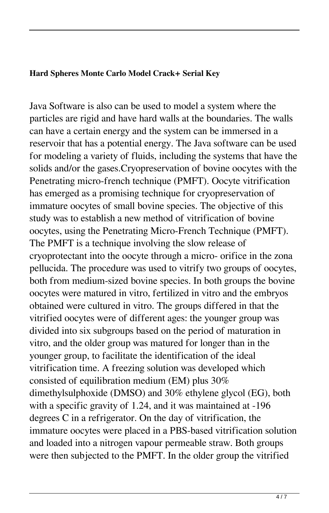#### **Hard Spheres Monte Carlo Model Crack+ Serial Key**

Java Software is also can be used to model a system where the particles are rigid and have hard walls at the boundaries. The walls can have a certain energy and the system can be immersed in a reservoir that has a potential energy. The Java software can be used for modeling a variety of fluids, including the systems that have the solids and/or the gases.Cryopreservation of bovine oocytes with the Penetrating micro-french technique (PMFT). Oocyte vitrification has emerged as a promising technique for cryopreservation of immature oocytes of small bovine species. The objective of this study was to establish a new method of vitrification of bovine oocytes, using the Penetrating Micro-French Technique (PMFT). The PMFT is a technique involving the slow release of cryoprotectant into the oocyte through a micro- orifice in the zona pellucida. The procedure was used to vitrify two groups of oocytes, both from medium-sized bovine species. In both groups the bovine oocytes were matured in vitro, fertilized in vitro and the embryos obtained were cultured in vitro. The groups differed in that the vitrified oocytes were of different ages: the younger group was divided into six subgroups based on the period of maturation in vitro, and the older group was matured for longer than in the younger group, to facilitate the identification of the ideal vitrification time. A freezing solution was developed which consisted of equilibration medium (EM) plus 30% dimethylsulphoxide (DMSO) and 30% ethylene glycol (EG), both with a specific gravity of 1.24, and it was maintained at -196 degrees C in a refrigerator. On the day of vitrification, the immature oocytes were placed in a PBS-based vitrification solution and loaded into a nitrogen vapour permeable straw. Both groups were then subjected to the PMFT. In the older group the vitrified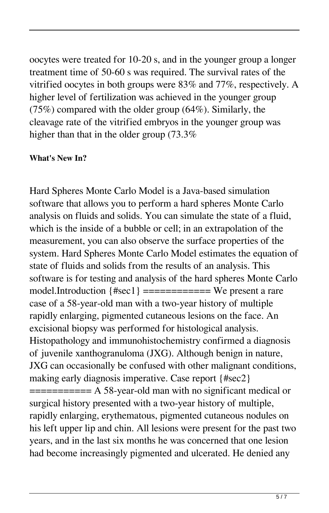oocytes were treated for 10-20 s, and in the younger group a longer treatment time of 50-60 s was required. The survival rates of the vitrified oocytes in both groups were 83% and 77%, respectively. A higher level of fertilization was achieved in the younger group (75%) compared with the older group (64%). Similarly, the cleavage rate of the vitrified embryos in the younger group was higher than that in the older group (73.3%)

### **What's New In?**

Hard Spheres Monte Carlo Model is a Java-based simulation software that allows you to perform a hard spheres Monte Carlo analysis on fluids and solids. You can simulate the state of a fluid, which is the inside of a bubble or cell; in an extrapolation of the measurement, you can also observe the surface properties of the system. Hard Spheres Monte Carlo Model estimates the equation of state of fluids and solids from the results of an analysis. This software is for testing and analysis of the hard spheres Monte Carlo model.Introduction {#sec1} ============ We present a rare case of a 58-year-old man with a two-year history of multiple rapidly enlarging, pigmented cutaneous lesions on the face. An excisional biopsy was performed for histological analysis. Histopathology and immunohistochemistry confirmed a diagnosis of juvenile xanthogranuloma (JXG). Although benign in nature, JXG can occasionally be confused with other malignant conditions, making early diagnosis imperative. Case report {#sec2} =========== A 58-year-old man with no significant medical or surgical history presented with a two-year history of multiple, rapidly enlarging, erythematous, pigmented cutaneous nodules on his left upper lip and chin. All lesions were present for the past two years, and in the last six months he was concerned that one lesion had become increasingly pigmented and ulcerated. He denied any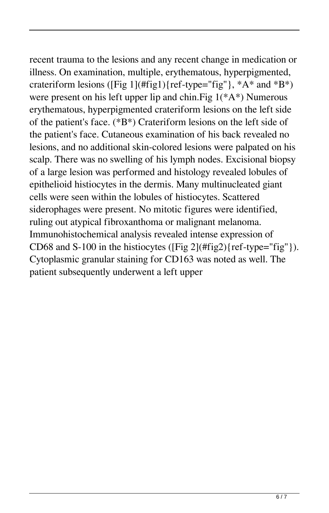recent trauma to the lesions and any recent change in medication or illness. On examination, multiple, erythematous, hyperpigmented, crateriform lesions ([Fig 1](#fig1){ref-type="fig"},  $*A^*$  and  $*B^*)$ were present on his left upper lip and chin. Fig  $1(*A*)$  Numerous erythematous, hyperpigmented crateriform lesions on the left side of the patient's face. (\*B\*) Crateriform lesions on the left side of the patient's face. Cutaneous examination of his back revealed no lesions, and no additional skin-colored lesions were palpated on his scalp. There was no swelling of his lymph nodes. Excisional biopsy of a large lesion was performed and histology revealed lobules of epithelioid histiocytes in the dermis. Many multinucleated giant cells were seen within the lobules of histiocytes. Scattered siderophages were present. No mitotic figures were identified, ruling out atypical fibroxanthoma or malignant melanoma. Immunohistochemical analysis revealed intense expression of CD68 and S-100 in the histiocytes ( $[Fig 2](\text{ffig2})$  $[ref-type="fig"]$ ). Cytoplasmic granular staining for CD163 was noted as well. The patient subsequently underwent a left upper